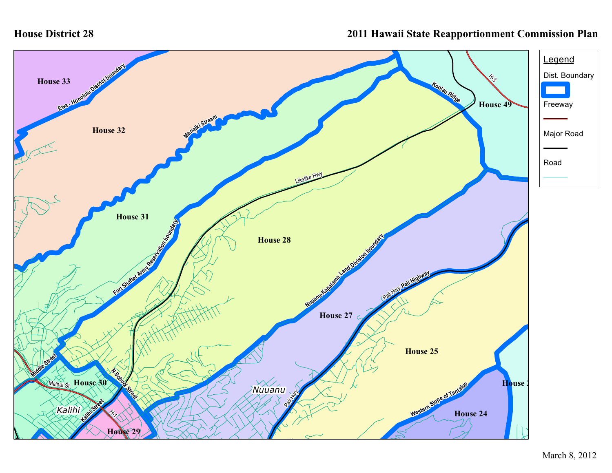## **House District 28**

## **2011 Hawaii State Reapportionment Commission Plan**